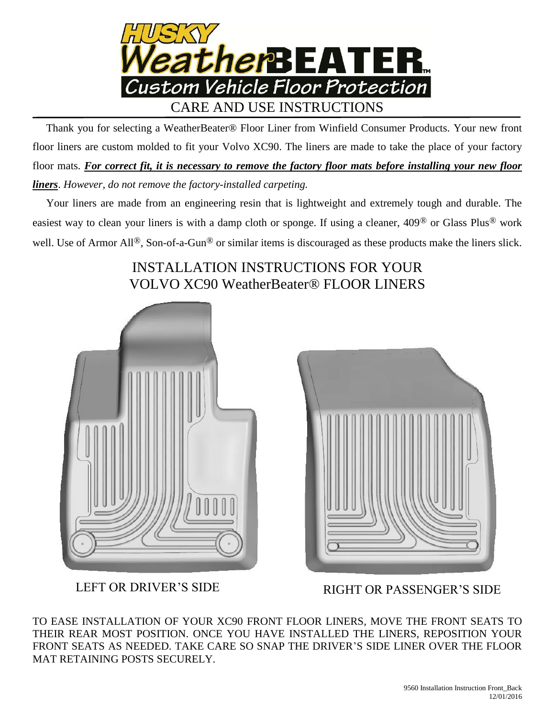

 Thank you for selecting a WeatherBeater® Floor Liner from Winfield Consumer Products. Your new front floor liners are custom molded to fit your Volvo XC90. The liners are made to take the place of your factory floor mats. *For correct fit, it is necessary to remove the factory floor mats before installing your new floor liners*. *However, do not remove the factory-installed carpeting.*

 Your liners are made from an engineering resin that is lightweight and extremely tough and durable. The easiest way to clean your liners is with a damp cloth or sponge. If using a cleaner, 409® or Glass Plus® work well. Use of Armor All<sup>®</sup>, Son-of-a-Gun<sup>®</sup> or similar items is discouraged as these products make the liners slick.

## INSTALLATION INSTRUCTIONS FOR YOUR VOLVO XC90 WeatherBeater® FLOOR LINERS





LEFT OR DRIVER'S SIDE RIGHT OR PASSENGER'S SIDE

TO EASE INSTALLATION OF YOUR XC90 FRONT FLOOR LINERS, MOVE THE FRONT SEATS TO THEIR REAR MOST POSITION. ONCE YOU HAVE INSTALLED THE LINERS, REPOSITION YOUR FRONT SEATS AS NEEDED. TAKE CARE SO SNAP THE DRIVER'S SIDE LINER OVER THE FLOOR MAT RETAINING POSTS SECURELY.